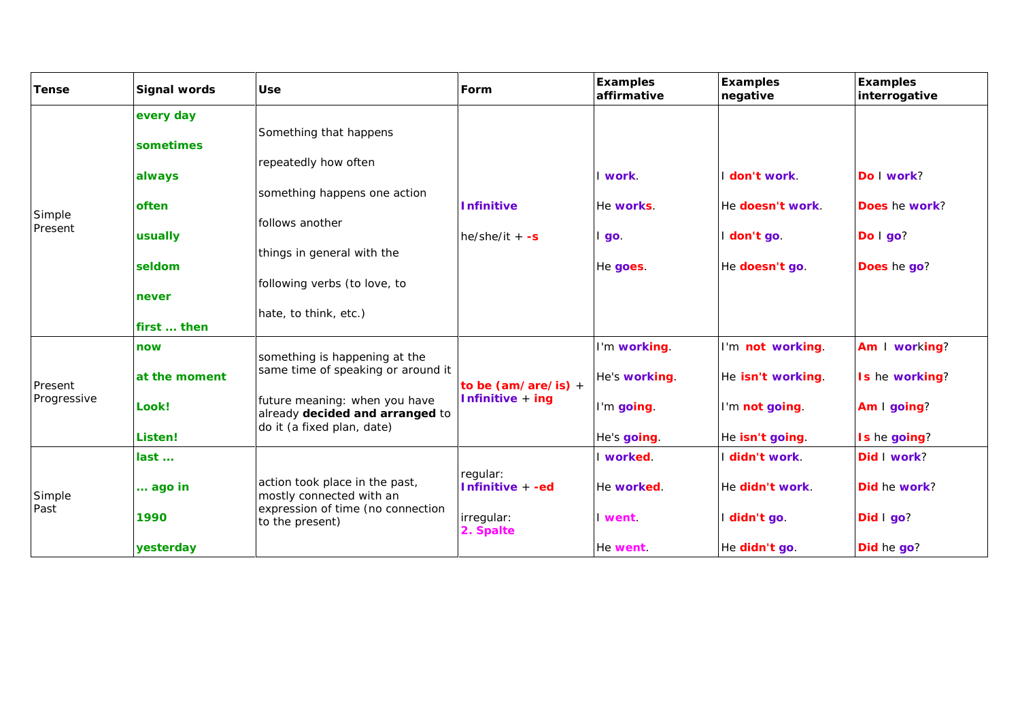| Tense                  | Signal words                                                                           | Use                                                                                                                                                                                      | Form                                                    | Examples<br>affirmative                                    | Examples<br>negative                                                       | Examples<br>interrogative                                      |
|------------------------|----------------------------------------------------------------------------------------|------------------------------------------------------------------------------------------------------------------------------------------------------------------------------------------|---------------------------------------------------------|------------------------------------------------------------|----------------------------------------------------------------------------|----------------------------------------------------------------|
| Simple<br>Present      | every day<br>sometimes<br>always<br>often<br>usually<br>seldom<br>never<br>first  then | Something that happens<br>repeatedly how often<br>something happens one action<br>follows another<br>things in general with the<br>following verbs (to love, to<br>hate, to think, etc.) | Infinitive<br>$he/she/it + -s$                          | I work.<br>He works.<br>l go.<br>He goes.                  | I don't work.<br>He doesn't work.<br>I don't go.<br>He doesn't go.         | Do I work?<br>Does he work?<br>Do I go?<br>Does he go?         |
| Present<br>Progressive | now<br>at the moment<br>Look!<br>Listen!                                               | something is happening at the<br>same time of speaking or around it<br>future meaning: when you have<br>already decided and arranged to<br>do it (a fixed plan, date)                    | to be $(am/are/is) +$<br>Infinitive + ing               | I'm working.<br>He's working.<br>I'm going.<br>He's going. | I'm not working.<br>He isn't working.<br>I'm not going.<br>He isn't going. | Am I working?<br>Is he working?<br>Am I going?<br>Is he going? |
| Simple<br>Past         | last<br>ago in<br>1990<br>yesterday                                                    | action took place in the past,<br>mostly connected with an<br>expression of time (no connection<br>to the present)                                                                       | regular:<br>Infinitive + -ed<br>irregular:<br>2. Spalte | I worked.<br>He worked.<br>I went.<br>He went.             | I didn't work.<br>He didn't work.<br>I didn't go.<br>He didn't go.         | Did I work?<br>Did he work?<br>Did I go?<br>Did he go?         |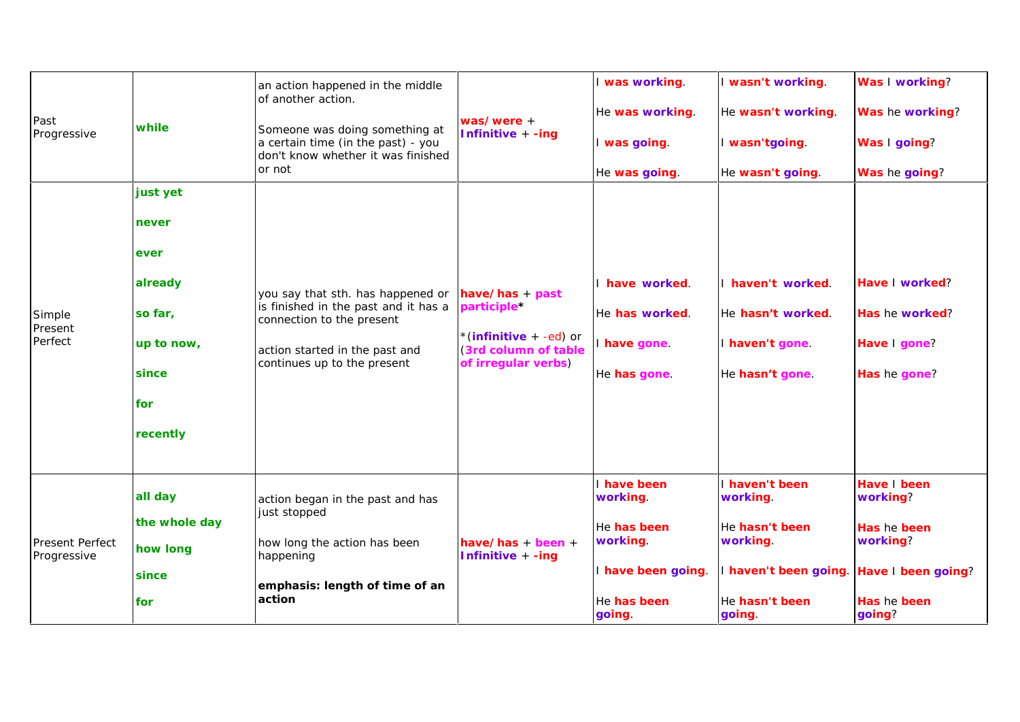| Past<br>Progressive                   | while<br>or not                                                                           | an action happened in the middle<br>of another action.<br>Someone was doing something at<br>a certain time (in the past) - you<br>don't know whether it was finished    | $was/were +$<br>Infinitive + -ing                                                                            | I was working.<br>He was working.                                                                 | I wasn't working.<br>He wasn't working.                                                                                          | Was I working?<br>Was he working?                                           |
|---------------------------------------|-------------------------------------------------------------------------------------------|-------------------------------------------------------------------------------------------------------------------------------------------------------------------------|--------------------------------------------------------------------------------------------------------------|---------------------------------------------------------------------------------------------------|----------------------------------------------------------------------------------------------------------------------------------|-----------------------------------------------------------------------------|
|                                       |                                                                                           |                                                                                                                                                                         |                                                                                                              | I was going.<br>He was going.                                                                     | I wasn'tgoing.<br>He wasn't going.                                                                                               | Was I going?<br>Was he going?                                               |
| Simple<br>Present<br>Perfect          | just yet<br>never<br>ever<br>already<br>so far,<br>up to now,<br>since<br>for<br>recently | you say that sth. has happened or<br>is finished in the past and it has a<br>connection to the present<br>action started in the past and<br>continues up to the present | $have/has + past$<br>participle*<br>*(infinitive $+ -ed$ ) or<br>(3rd column of table<br>of irregular verbs) | I have worked.<br>He has worked.<br>I have gone<br>He has gone.                                   | I haven't worked.<br>He hasn't worked.<br>I haven't gone.<br>He hasn't gone.                                                     | Have I worked?<br>Has he worked?<br>Have I gone?<br>Has he gone?            |
| <b>Present Perfect</b><br>Progressive | all day<br>the whole day<br>how long<br>since<br>for                                      | action began in the past and has<br>just stopped<br>how long the action has been<br>happening<br>emphasis: length of time of an<br>action                               | have/has + been +<br>Infinitive + -ing                                                                       | I have been<br>working.<br>He has been<br>working.<br>I have been going.<br>He has been<br>going. | I haven't been<br>working.<br>He hasn't been<br>working.<br>I haven't been going. Have I been going?<br>He hasn't been<br>going. | Have I been<br>working?<br>Has he been<br>working?<br>Has he been<br>going? |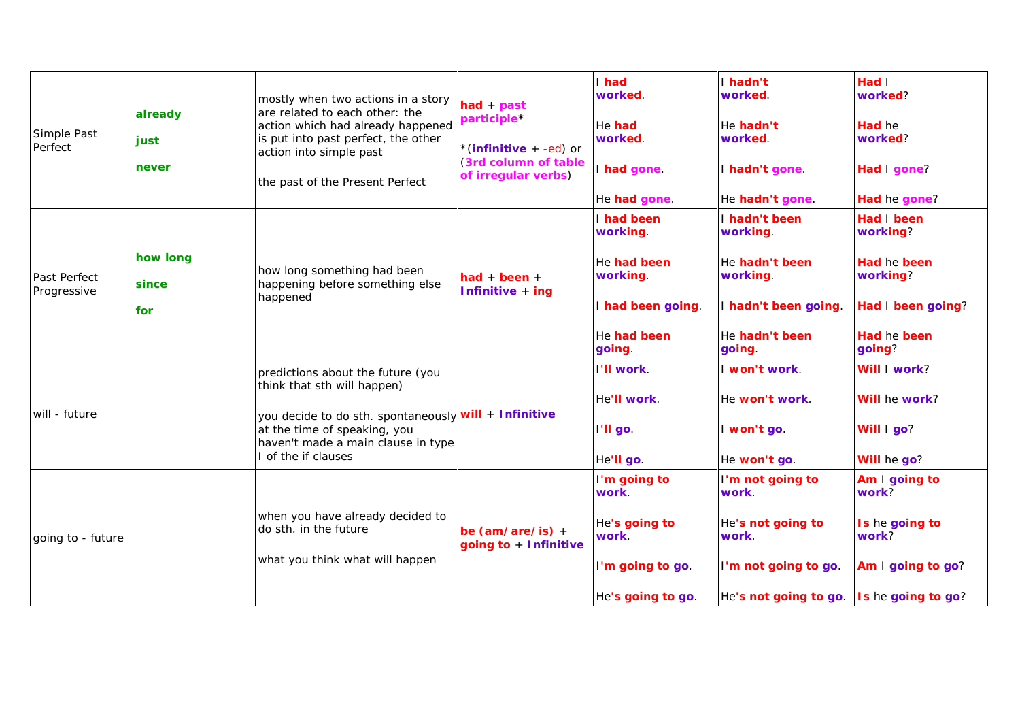| Simple Past<br>Perfect      | already<br>just<br>never | mostly when two actions in a story<br>are related to each other: the<br>action which had already happened<br>is put into past perfect, the other<br>action into simple past<br>the past of the Present Perfect       | $had + past$<br>participle*<br>*(infinitive + -ed) or<br>(3rd column of table<br>of irregular verbs) | I had<br>worked.<br>He had<br>worked.<br>I had gone. | I hadn't<br>worked.<br>He hadn't<br>worked.<br>I hadn't gone. | Had I<br>worked?<br>Had he<br>worked?<br>Had I gone? |
|-----------------------------|--------------------------|----------------------------------------------------------------------------------------------------------------------------------------------------------------------------------------------------------------------|------------------------------------------------------------------------------------------------------|------------------------------------------------------|---------------------------------------------------------------|------------------------------------------------------|
|                             |                          |                                                                                                                                                                                                                      |                                                                                                      | He had gone.                                         | He hadn't gone.                                               | Had he gone?                                         |
| Past Perfect<br>Progressive |                          | how long something had been<br>happening before something else<br>happened                                                                                                                                           | had + been $+$<br>Infinitive + ing                                                                   | I had been<br>working.                               | I hadn't been<br>working.                                     | Had I been<br>working?                               |
|                             | how long<br>since        |                                                                                                                                                                                                                      |                                                                                                      | He had been<br>working.                              | He hadn't been<br>working.                                    | Had he been<br>working?                              |
|                             | for                      |                                                                                                                                                                                                                      |                                                                                                      | I had been going.                                    | I hadn't been going.                                          | Had I been going?                                    |
|                             |                          |                                                                                                                                                                                                                      |                                                                                                      | He had been<br>going.                                | He hadn't been<br>going.                                      | Had he been<br>going?                                |
|                             |                          | predictions about the future (you<br>think that sth will happen)<br>you decide to do sth. spontaneously will + Infinitive<br>at the time of speaking, you<br>haven't made a main clause in type<br>of the if clauses |                                                                                                      | I'll work.                                           | I won't work.                                                 | Will I work?                                         |
| will - future               |                          |                                                                                                                                                                                                                      |                                                                                                      | He'll work.                                          | He won't work.                                                | Will he work?                                        |
|                             |                          |                                                                                                                                                                                                                      |                                                                                                      | I'll go.                                             | I won't go.                                                   | Will I go?                                           |
|                             |                          |                                                                                                                                                                                                                      |                                                                                                      | He'll go.                                            | He won't go.                                                  | Will he go?                                          |
| going to - future           |                          | when you have already decided to<br>do sth. in the future<br>what you think what will happen                                                                                                                         | be $(am/are/is) +$<br>going to + Infinitive                                                          | I'm going to<br>work.                                | I'm not going to<br>work.                                     | Am I going to<br>work?                               |
|                             |                          |                                                                                                                                                                                                                      |                                                                                                      | He's going to<br>work.                               | He's not going to<br>work.                                    | Is he going to<br>work?                              |
|                             |                          |                                                                                                                                                                                                                      |                                                                                                      | I'm going to go.                                     | I'm not going to go.                                          | Am I going to go?                                    |
|                             |                          |                                                                                                                                                                                                                      |                                                                                                      | He's going to go.                                    | He's not going to go.                                         | Is he going to go?                                   |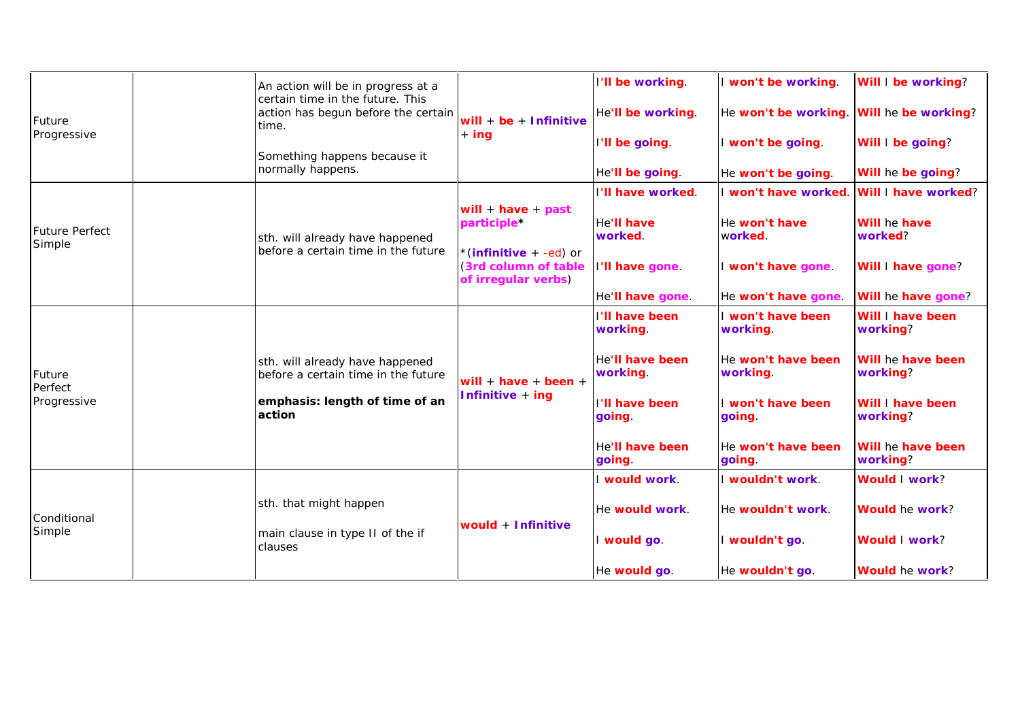|                                 | An action will be in progress at a                                               | will + $be +$ Infinitive<br>$+$ ing                                       | I'll be working.            | I won't be working.            | Will I be working?            |
|---------------------------------|----------------------------------------------------------------------------------|---------------------------------------------------------------------------|-----------------------------|--------------------------------|-------------------------------|
| Future                          | certain time in the future. This<br>action has begun before the certain<br>time. |                                                                           | He'll be working.           | He won't be working.           | Will he be working?           |
| Progressive                     | Something happens because it                                                     |                                                                           | I'll be going.              | I won't be going.              | Will I be going?              |
|                                 | normally happens.                                                                |                                                                           | He'll be going.             | He won't be going.             | Will he be going?             |
|                                 |                                                                                  |                                                                           | I'll have worked.           | I won't have worked.           | Will I have worked?           |
| <b>Future Perfect</b><br>Simple | sth. will already have happened                                                  | will + have + past<br>participle*                                         | He'll have<br>worked.       | He won't have<br>worked.       | Will he have<br>worked?       |
|                                 | before a certain time in the future                                              | *(infinitive $+ -ed$ ) or<br>(3rd column of table)<br>of irregular verbs) | I'll have gone.             | I won't have gone.             | Will I have gone?             |
|                                 |                                                                                  |                                                                           | He'll have gone.            | He won't have gone.            | Will he have gone?            |
|                                 |                                                                                  | will + have + been +<br>Infinitive + ing                                  | I'll have been<br>working.  | I won't have been<br>working.  | Will I have been<br>working?  |
| Future<br>Perfect               | sth. will already have happened<br>before a certain time in the future           |                                                                           | He'll have been<br>working. | He won't have been<br>working. | Will he have been<br>working? |
| Progressive                     | emphasis: length of time of an<br>action                                         |                                                                           | I'll have been<br>going.    | I won't have been<br>going.    | Will I have been<br>working?  |
|                                 |                                                                                  |                                                                           | He'll have been<br>going.   | He won't have been<br>going.   | Will he have been<br>working? |
|                                 |                                                                                  |                                                                           | I would work.               | I wouldn't work.               | Would I work?                 |
| Conditional                     | sth. that might happen                                                           |                                                                           | He would work.              | He wouldn't work.              | Would he work?                |
| Simple                          | main clause in type II of the if<br>clauses                                      | would + Infinitive                                                        | I would go.                 | I wouldn't go.                 | Would I work?                 |
|                                 |                                                                                  |                                                                           | He would go.                | He wouldn't go.                | Would he work?                |